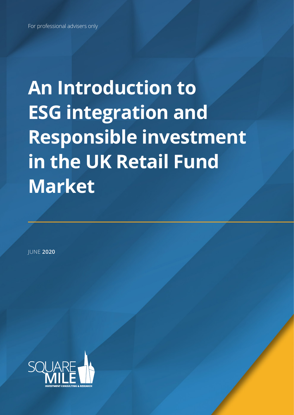# **An Introduction to ESG integration and Responsible investment in the UK Retail Fund Market**

JUNE **2020**

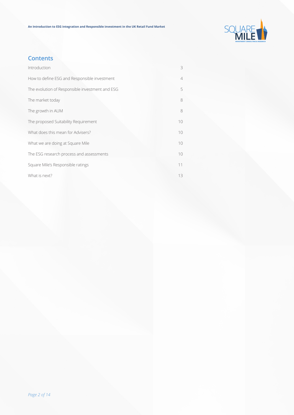

## **Contents**

| Introduction                                    | 3               |
|-------------------------------------------------|-----------------|
| How to define ESG and Responsible investment    | $\overline{4}$  |
| The evolution of Responsible investment and ESG | 5               |
| The market today                                | 8               |
| The growth in AUM                               | 8               |
| The proposed Suitability Requirement            | 10              |
| What does this mean for Advisers?               | 10              |
| What we are doing at Square Mile                | 10 <sup>°</sup> |
| The ESG research process and assessments        | 10 <sup>°</sup> |
| Square Mile's Responsible ratings               | 11              |
| What is next?                                   | 13              |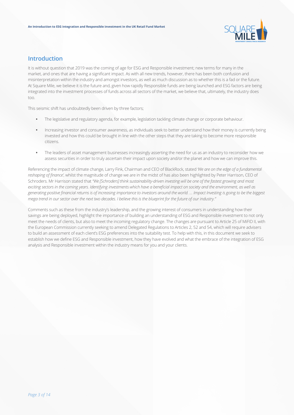

## **Introduction**

It is without question that 2019 was the coming of age for ESG and Responsible investment; new terms for many in the market, and ones that are having a significant impact. As with all new trends, however, there has been both confusion and misinterpretation within the industry and amongst investors, as well as much discussion as to whether this is a fad or the future. At Square Mile, we believe it is the future and, given how rapidly Responsible funds are being launched and ESG factors are being integrated into the investment processes of funds across all sectors of the market, we believe that, ultimately, the industry does too.

This seismic shift has undoubtedly been driven by three factors;

- **•** The legislative and regulatory agenda, for example, legislation tackling climate change or corporate behaviour.
- **•** Increasing investor and consumer awareness, as individuals seek to better understand how their money is currently being invested and how this could be brought in line with the other steps that they are taking to become more responsible citizens.
- **•** The leaders of asset management businesses increasingly asserting the need for us as an industry to reconsider how we assess securities in order to truly ascertain their impact upon society and/or the planet and how we can improve this.

Referencing the impact of climate change, Larry Fink, Chairman and CEO of BlackRock, stated *'We are on the edge of a fundamental reshaping of finance'*, whilst the magnitude of change we are in the midst of has also been highlighted by Peter Harrison, CEO of Schroders. Mr Harrison stated that *"We [Schroders] think sustainability-driven investing will be one of the fastest growing and most exciting sectors in the coming years. Identifying investments which have a beneficial impact on society and the environment, as well as generating positive financial returns is of increasing importance to investors around the world. … Impact Investing is going to be the biggest mega trend in our sector over the next two decades. I believe this is the blueprint for the future of our industry."* 

Comments such as these from the industry's leadership, and the growing interest of consumers in understanding how their savings are being deployed, highlight the importance of building an understanding of ESG and Responsible investment to not only meet the needs of clients, but also to meet the incoming regulatory change. The changes are pursuant to Article 25 of MiFID II, with the European Commission currently seeking to amend Delegated Regulations to Articles 2, 52 and 54, which will require advisers to build an assessment of each client's ESG preferences into the suitability test. To help with this, in this document we seek to establish how we define ESG and Responsible investment, how they have evolved and what the embrace of the integration of ESG analysis and Responsible investment within the industry means for you and your clients.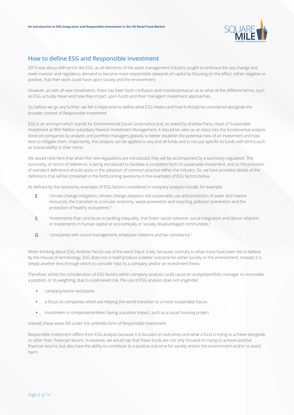

## **How to define ESG and Responsible investment**

2019 was abuzz with terms like ESG, as all elements of the asset management industry sought to embrace the sea change and meet investor and regulatory demand to become more responsible stewards of capital by focusing on the effect, either negative or positive, that their work could have upon society and the environment.

However, as with all new movements, there has been both confusion and misinterpretation as to what all the different terms, such as ESG, actually mean and how they impact upon funds and their managers' investment approaches.

So, before we go any further, we felt it imperative to define what ESG means and how it should be considered alongside the broader context of Responsible investment.

ESG is an acronym which stands for Environmental Social Governance and, as stated by Andrew Parry, Head of Sustainable Investment at BNY Mellon subsidiary Newton Investment Management, it should be seen as an input into the fundamental analysis done on companies by analysts and portfolio managers globally to better establish the potential risks of an investment and how best to mitigate them. Importantly, this analysis can be applied to any and all funds and is not just specific to funds with terms such as 'sustainability' in their name.

We would note here that when the new regulations are introduced, they will be accompanied by a taxonomy regulation. The taxonomy, or terms of reference, is being introduced to facilitate a consistent form of sustainable investment, and so the provision of standard definitions should assist in the adoption of common practice within the industry. So, we have provided details of the definitions that will be contained in the forthcoming taxonomy in the examples of ESG factors below.

As defined by the taxonomy, examples of ESG factors considered in company analysis include, for example;

- **E** "climate change mitigation, climate change adaption, the sustainable use and protection of water and marine resources, the transition to a circular economy, waste prevention and recycling, pollution prevention and the protection of healthy ecosystems."
- **S** "investments that contribute to tackling inequality, that foster social cohesion, social integration and labour relations or investments in human capital or economically or socially disadvantaged communities."
- **G** "companies with sound management, employee relations and tax compliance."

When thinking about ESG, Andrew Parry's use of the word 'input' is key, because, contrary to what many have been led to believe by the misuse of terminology, ESG does not in itself produce a better outcome for either society or the environment. Instead, it is simply another lens through which to consider risks to a company and/or an investment thesis.

Therefore, whilst the consideration of ESG factors within company analysis could cause an analyst/portfolio manager to reconsider a position, or its weighting, due to a perceived risk, the use of ESG analysis does not engender:

- **•** company/sector exclusions.
- **•** a focus on companies which are helping the world transition to a more sustainable future.
- **•** investment in companies/entities having a positive impact, such as a social housing project.

Instead, these areas fall under the umbrella term of Responsible investment.

Responsible investment differs from ESG analysis because it is focused on outcomes and what a fund is trying to achieve alongside, or other than, financial returns. In essence, we would say that these funds are not only focused on trying to achieve positive financial returns, but also have the ability to contribute to a positive outcome for society and/or the environment and/or to avoid harm.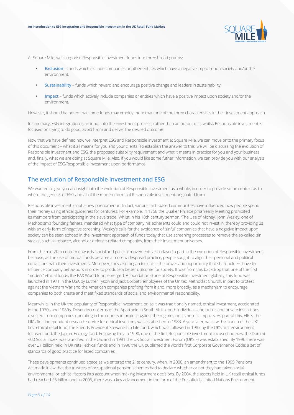

At Square Mile, we categorise Responsible investment funds into three broad groups:

- **• Exclusion** funds which exclude companies or other entities which have a negative impact upon society and/or the environment.
- **• Sustainability** funds which reward and encourage positive change and leaders in sustainability.
- **• Impact** funds which actively include companies or entities which have a positive impact upon society and/or the environment.

However, it should be noted that some funds may employ more than one of the three characteristics in their investment approach.

In summary, ESG integration is an input into the investment process, rather than an output of it, whilst, Responsible investment is focused on trying to do good, avoid harm and deliver the desired outcome.

Now that we have defined how we interpret ESG and Responsible investment at Square Mile, we can move onto the primary focus of this document – what it all means for you and your clients. To establish the answer to this, we will be discussing the evolution of Responsible investment and ESG, the proposed suitability requirement and what it means in practice for you and your business and, finally, what we are doing at Square Mile. Also, if you would like some futher information, we can provide you with our analysis of the impact of ESG/Responsible investment upon performance.

### **The evolution of Responsible investment and ESG**

We wanted to give you an insight into the evolution of Responsible investment as a whole, in order to provide some context as to where the genesis of ESG and all of the modern forms of Responsible investment originated from.

Responsible investment is not a new phenomenon. In fact, various faith-based communities have influenced how people spend their money using ethical guidelines for centuries. For example, in 1758 the Quaker Philadelphia Yearly Meeting prohibited its members from participating in the slave trade. Whilst in his 18th century sermon, 'The Use of Money', John Wesley, one of Methodism's founding fathers, mandated what type of company his adherents could and could not invest in, thereby providing us with an early form of negative screening. Wesley's calls for the avoidance of 'sinful' companies that have a negative impact upon society can be seen echoed in the investment approach of funds today that use screening processes to remove the so-called 'sin stocks', such as tobacco, alcohol or defence-related companies, from their investment universes.

From the mid 20th century onwards, social and political movements also played a part in the evolution of Responsible investment, because, as the use of mutual funds became a more widespread practice, people sought to align their personal and political convictions with their investments. Moreover, they also began to realise the power and opportunity that shareholders have to influence company behaviours in order to produce a better outcome for society. It was from this backdrop that one of the first 'modern' ethical funds, the PAX World fund, emerged. A foundation stone of Responsible investment globally, this fund was launched in 1971 in the USA by Luther Tyson and Jack Corbett, employees of the United Methodist Church, in part to protest against the Vietnam War and the American companies profiting from it and, more broadly, as a mechanism to encourage companies to both create and meet fixed standards of social and environmental responsibility.

Meanwhile, in the UK the popularity of Responsible investment, or, as it was traditionally named, ethical investment, accelerated in the 1970s and 1980s. Driven by concerns of the Apartheid in South Africa, both individuals and public and private institutions divested from companies operating in the country in protest against the regime and its horrific impacts. As part of this, EIRIS, the UK's first independent research service for ethical investors, was established in 1983. A year later, we saw the launch of the UK's first ethical retail fund, the Friends Provident Stewardship Life fund, which was followed in 1987 by the UK's first environment focused fund, the Jupiter Ecology fund. Following this, in 1990, one of the first Responsible investment focused indexes, the Domini 400 Social index, was launched in the US, and in 1991 the UK Social Investment Forum (UKSIF) was established. By 1996 there was over £1 billion held in UK retail ethical funds and in 1998 the UK published the world's first Corporate Governance Code; a set of standards of good practice for listed companies .

These developments continued apace as we entered the 21st century, when, in 2000, an amendment to the 1995 Pensions Act made it law that the trustees of occupational pension schemes had to declare whether or not they had taken social, environmental or ethical factors into account when making investment decisions. By 2004, the assets held in UK retail ethical funds had reached £5 billion and, in 2005, there was a key advancement in the form of the Freshfields United Nations Environment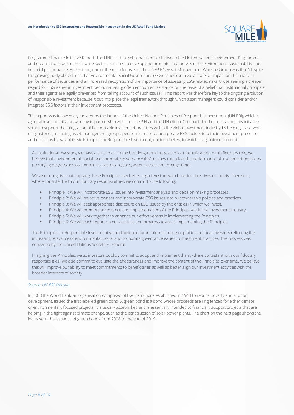

Programme Finance Initiative Report. The UNEP FI is a global partnership between the United Nations Environment Programme and organisations within the finance sector that aims to develop and promote links between the environment, sustainability and financial performance. At this time, one of the main focuses of the UNEP FI's Asset Management Working Group was that "despite the growing body of evidence that Environmental Social Governance (ESG) issues can have a material impact on the financial performance of securities and an increased recognition of the importance of assessing ESG-related risks, those seeking a greater regard for ESG issues in investment decision-making often encounter resistance on the basis of a belief that institutional principals and their agents are legally prevented from taking account of such issues." This report was therefore key to the ongoing evolution of Responsible investment because it put into place the legal framework through which asset managers could consider and/or integrate ESG factors in their investment processes.

This report was followed a year later by the launch of the United Nations Principles of Responsible Investment (UN PRI), which is a global investor initiative working in partnership with the UNEP FI and the UN Global Compact. The first of its kind, this initiative seeks to support the integration of Responsible investment practices within the global investment industry by helping its network of signatories, including asset management groups, pension funds, etc, incorporate ESG factors into their investment processes and decisions by way of its six Principles for Responsible Investment, outlined below, to which its signatories commit.

As institutional investors, we have a duty to act in the best long-term interests of our beneficiaries. In this fiduciary role, we believe that environmental, social, and corporate governance (ESG) issues can affect the performance of investment portfolios (to varying degrees across companies, sectors, regions, asset classes and through time).

We also recognise that applying these Principles may better align investors with broader objectives of society. Therefore, where consistent with our fiduciary responsibilities, we commit to the following:

- **•** Principle 1: We will incorporate ESG issues into investment analysis and decision-making processes.
- **•** Principle 2: We will be active owners and incorporate ESG issues into our ownership policies and practices.
- **•** Principle 3: We will seek appropriate disclosure on ESG issues by the entities in which we invest.
- **•** Principle 4: We will promote acceptance and implementation of the Principles within the investment industry.
- **•** Principle 5: We will work together to enhance our effectiveness in implementing the Principles.
- **•** Principle 6: We will each report on our activities and progress towards implementing the Principles.

The Principles for Responsible Investment were developed by an international group of institutional investors reflecting the increasing relevance of environmental, social and corporate governance issues to investment practices. The process was convened by the United Nations Secretary-General.

In signing the Principles, we as investors publicly commit to adopt and implement them, where consistent with our fiduciary responsibilities. We also commit to evaluate the effectiveness and improve the content of the Principles over time. We believe this will improve our ability to meet commitments to beneficiaries as well as better align our investment activities with the broader interests of society.

#### *Source: UN PRI Website*

In 2008 the World Bank, an organisation comprised of five institutions established in 1944 to reduce poverty and support development, issued the first labelled green bond. A green bond is a bond whose proceeds are ring fenced for either climate or environmentally focused projects. It is usually asset-linked and is essentially intended to financially support projects that are helping in the fight against climate change, such as the construction of solar power plants. The chart on the next page shows the increase in the issuance of green bonds from 2008 to the end of 2019.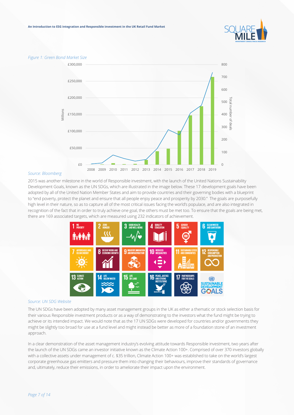

#### *Figure 1: Green Bond Market Size*



#### *Source: Bloomberg*

2015 was another milestone in the world of Responsible investment, with the launch of the United Nations Sustainability Development Goals, known as the UN SDGs, which are illustrated in the image below. These 17 development goals have been adopted by all of the United Nation Member States and aim to provide countries and their governing bodies with a blueprint to "end poverty, protect the planet and ensure that all people enjoy peace and prosperity by 2030." The goals are purposefully high level in their nature, so as to capture all of the most critical issues facing the world's populace, and are also integrated in recognition of the fact that in order to truly achieve one goal, the others must be met too. To ensure that the goals are being met, there are 169 associated targets, which are measured using 232 indicators of achievement.



#### *Source: UN SDG Website*

The UN SDGs have been adopted by many asset management groups in the UK as either a thematic or stock selection basis for their various Responsible investment products or as a way of demonstrating to the investors what the fund might be trying to achieve or its intended impact. We would note that as the 17 UN SDGs were developed for countries and/or governments they might be slightly too broad for use at a fund level and might instead be better as more of a foundation stone of an investment approach.

In a clear demonstration of the asset management industry's evolving attitude towards Responsible investment, two years after the launch of the UN SDGs came an investor initiative known as the Climate Action 100+. Comprised of over 370 investors globally with a collective assets under management of c. \$35 trillion, Climate Action 100+ was established to take on the world's largest corporate greenhouse gas emitters and pressure them into changing their behaviours, improve their standards of governance and, ultimately, reduce their emissions, in order to ameliorate their impact upon the environment.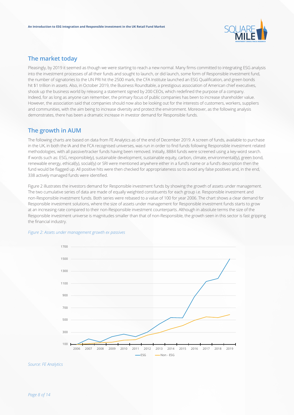

## **The market today**

Pleasingly, by 2019 it seemed as though we were starting to reach a new normal. Many firms committed to integrating ESG analysis into the investment processes of all their funds and sought to launch, or did launch, some form of Responsible investment fund, the number of signatories to the UN PRI hit the 2500 mark, the CFA Institute launched an ESG Qualification, and green bonds hit \$1 trillion in assets. Also, in October 2019, the Business Roundtable, a prestigious association of American chief executives, shook up the business world by releasing a statement signed by 200 CEOs, which redefined the purpose of a company. Indeed, for as long as anyone can remember, the primary focus of public companies has been to increase shareholder value. However, the association said that companies should now also be looking out for the interests of customers, workers, suppliers and communities, with the aim being to increase diversity and protect the environment. Moreover, as the following analysis demonstrates, there has been a dramatic increase in investor demand for Responsible funds.

## **The growth in AUM**

The following charts are based on data from FE Analytics as of the end of December 2019. A screen of funds, available to purchase in the UK, in both the IA and the FCA recognised universes, was run in order to find funds following Responsible investment related methodologies, with all passive/tracker funds having been removed. Initially, 8884 funds were screened using a key-word search. If words such as: ESG, responsible(y), sustainable development, sustainable equity, carbon, climate, environmental(ly), green bond, renewable energy, ethical(ly), social(ly) or SRI were mentioned anywhere either in a fund's name or a fund's description then the fund would be flagged up. All positive hits were then checked for appropriateness so to avoid any false positives and, in the end, 338 actively managed funds were identified.

Figure 2 illustrates the investors demand for Responsible investment funds by showing the growth of assets under management. The two cumulative series of data are made of equally weighted constituents for each group i.e. Responsible investment and non-Responsible investment funds. Both series were rebased to a value of 100 for year 2006. The chart shows a clear demand for Responsible investment solutions, where the size of assets under management for Responsible investment funds starts to grow at an increasing rate compared to their non-Responsible investment counterparts. Although in absolute terms the size of the Responsible investment universe is magnitudes smaller than that of non-Responsible, the growth seen in this sector is fast gripping the financial industry.



#### *Figure 2: Assets under management growth ex passives*

*Source: FE Analytics*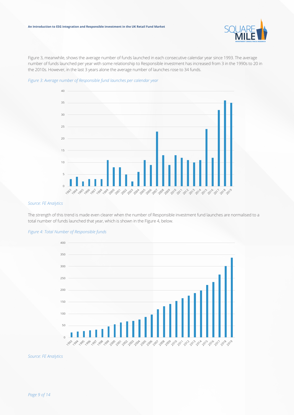

Figure 3, meanwhile, shows the average number of funds launched in each consecutive calendar year since 1993. The average number of funds launched per year with some relationship to Responsible investment has increased from 3 in the 1990s to 20 in the 2010s. However, in the last 3 years alone the average number of launches rose to 34 funds.





#### *Source: FE Analytics*

The strength of this trend is made even clearer when the number of Responsible investment fund launches are normalised to a total number of funds launched that year, which is shown in the Figure 4, below.



#### *Figure 4: Total Number of Responsible funds*

*Source: FE Analytics*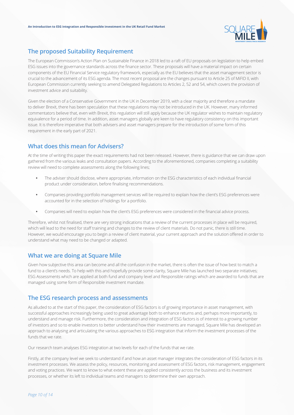

## **The proposed Suitability Requirement**

The European Commission's Action Plan on Sustainable Finance in 2018 led to a raft of EU proposals on legislation to help embed ESG issues into the governance standards across the finance sector. These proposals will have a material impact on certain components of the EU Financial Service regulatory framework, especially as the EU believes that the asset management sector is crucial to the advancement of its ESG agenda. The most recent proposal are the changes pursuant to Article 25 of MiFID II, with European Commission currently seeking to amend Delegated Regulations to Articles 2, 52 and 54, which covers the provision of investment advice and suitability.

Given the election of a Conservative Government in the UK in December 2019, with a clear majority and therefore a mandate to deliver Brexit, there has been speculation that these regulations may not be introduced in the UK. However, many informed commentators believe that, even with Brexit, this regulation will still apply because the UK regulator wishes to maintain regulatory equivalence for a period of time. In addition, asset managers globally are keen to have regulatory consistency on this important issue. It is therefore imperative that both advisers and asset managers prepare for the introduction of some form of this requirement in the early part of 2021.

## **What does this mean for Advisers?**

At the time of writing this paper the exact requirements had not been released. However, there is guidance that we can draw upon gathered from the various leaks and consultation papers. According to the aforementioned, companies completing a suitability review will need to complete assessments along the following lines;

- **•** The adviser should disclose, where appropriate, information on the ESG characteristics of each individual financial product under consideration, before finalising recommendations.
- **•** Companies providing portfolio management services will be required to explain how the client's ESG preferences were accounted for in the selection of holdings for a portfolio.
- **•** Companies will need to explain how the client's ESG preferences were considered in the financial advice process.

Therefore, whilst not finalised, there are very strong indications that a review of the current processes in place will be required, which will lead to the need for staff training and changes to the review of client materials. Do not panic, there is still time. However, we would encourage you to begin a review of client material, your current approach and the solution offered in order to understand what may need to be changed or adapted.

## **What we are doing at Square Mile**

Given how subjective this area can become and all the confusion in the market, there is often the issue of how best to match a fund to a client's needs. To help with this and hopefully provide some clarity, Square Mile has launched two separate initiatives; ESG Assessments which are applied at both fund and company level and Responsible ratings which are awarded to funds that are managed using some form of Responsible investment mandate.

## **The ESG research process and assessments**

As alluded to at the start of this paper, the consideration of ESG factors is of growing importance in asset management, with successful approaches increasingly being used to great advantage both to enhance returns and, perhaps more importantly, to understand and manage risk. Furthermore, the consideration and integration of ESG factors is of interest to a growing number of investors and so to enable investors to better understand how their investments are managed, Square Mile has developed an approach to analysing and articulating the various approaches to ESG integration that inform the investment processes of the funds that we rate.

Our research team analyses ESG integration at two levels for each of the funds that we rate.

Firstly, at the company level we seek to understand if and how an asset manager integrates the consideration of ESG factors in its investment processes. We assess the policy, resources, monitoring and assessment of ESG factors, risk management, engagement and voting practices. We want to know to what extent these are applied consistently across the business and its investment processes, or whether its left to individual teams and managers to determine their own approach.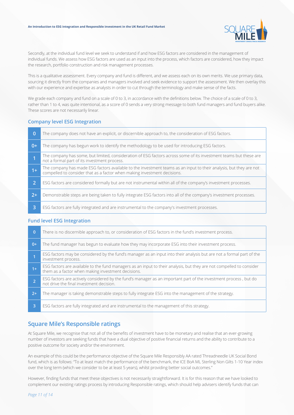#### **An Introduction to ESG integration and Responsible investment in the UK Retail Fund Market**



Secondly, at the individual fund level we seek to understand if and how ESG factors are considered in the management of individual funds. We assess how ESG factors are used as an input into the process, which factors are considered, how they impact the research, portfolio construction and risk management processes.

This is a qualitative assessment. Every company and fund is different, and we assess each on its own merits. We use primary data, sourcing it directly from the companies and managers involved and seek evidence to support the assessment. We then overlay this with our experience and expertise as analysts in order to cut through the terminology and make sense of the facts.

We grade each company and fund on a scale of 0 to 3, in accordance with the definitions below. The choice of a scale of 0 to 3, rather than 1 to 4, was quite intentional, as a score of 0 sends a very strong message to both fund managers and fund buyers alike. These scores are not necessarily linear.

#### **Company level ESG Integration**

| $\Omega$       | The company does not have an explicit, or discernible approach to, the consideration of ESG factors.                                                                                           |
|----------------|------------------------------------------------------------------------------------------------------------------------------------------------------------------------------------------------|
| $0+$           | The company has begun work to identify the methodology to be used for introducing ESG factors.                                                                                                 |
|                | The company has some, but limited, consideration of ESG factors across some of its investment teams but these are<br>not a formal part of its investment process.                              |
| $1+$           | The company has made ESG factors available to the investment teams as an input to their analysis, but they are not<br>compelled to consider that as a factor when making investment decisions. |
| $\overline{2}$ | ESG factors are considered formally but are not instrumental within all of the company's investment processes.                                                                                 |
| $2+1$          | Demonstrable steps are being taken to fully integrate ESG factors into all of the company's investment processes.                                                                              |
| 3              | ESG factors are fully integrated and are instrumental to the company's investment processes.                                                                                                   |

#### **Fund level ESG Integration**

| $\overline{0}$ | There is no discernible approach to, or consideration of ESG factors in the fund's investment process.                                                                     |
|----------------|----------------------------------------------------------------------------------------------------------------------------------------------------------------------------|
| $0+$           | The fund manager has begun to evaluate how they may incorporate ESG into their investment process.                                                                         |
|                | ESG factors may be considered by the fund's manager as an input into their analysis but are not a formal part of the<br>investment process.                                |
| $1+$           | ESG factors are available to the fund managers as an input to their analysis, but they are not compelled to consider<br>them as a factor when making investment decisions. |
|                | ESG factors are actively considered by the fund's manager as an important part of the investment process, but do<br>not drive the final investment decision.               |
| $2+$           | The manager is taking demonstrable steps to fully integrate ESG into the management of the strategy.                                                                       |
| 3              | ESG factors are fully integrated and are instrumental to the management of this strategy.                                                                                  |

## **Square Mile's Responsible ratings**

At Square Mile, we recognise that not all of the benefits of investment have to be monetary and realise that an ever-growing number of investors are seeking funds that have a dual objective of positive financial returns and the ability to contribute to a positive outcome for society and/or the environment.

An example of this could be the performance objective of the Square Mile Responsibly AA rated Threadneedle UK Social Bond fund, which is as follows: "To at least match the performance of the benchmark, the ICE BoA ML Sterling Non Gilts 1-10 Year index over the long term (which we consider to be at least 5 years), whilst providing better social outcomes."

However, finding funds that meet these objectives is not necessarily straightforward. It is for this reason that we have looked to complement our existing ratings process by introducing Responsible ratings, which should help advisers identify funds that can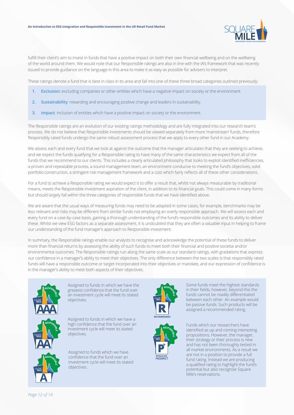

fulfill their client's aim to invest in funds that have a positive impact on both their own financial wellbeing and on the wellbeing of the world around them. We would note that our Responsible ratings are also in line with the IA's framework that was recently issued to provide guidance on the language in this area to make it as easy as possible for advisers to interpret.

These ratings denote a fund that is best in class in its area and fall into one of these three broad categories outlined previously:

- **1. Exclusion:** excluding companies or other entities which have a negative impact on society or the environment.
- **2. Sustainability**: rewarding and encouraging positive change and leaders in sustainability.
- **3. Impact**: inclusion of entities which have a positive impact on society or the environment.

The Responsible ratings are an evolution of our existing ratings methodology and are fully integrated into our research team's process. We do not believe that Responsible investments should be viewed separately from more 'mainstream' funds, therefore Responsibly rated funds undergo the same robust assessment process that we apply to every other fund in our Academy.

We assess each and every fund that we look at against the outcome that the manager articulates that they are seeking to achieve, and we expect the funds qualifying for a Responsible rating to have many of the same characteristics we expect from all of the funds that we recommend to our clients. This includes a clearly articulated philosophy that looks to exploit identified inefficiencies, a proven and repeatable process, a sound management team, an environment conducive to meeting the fund's objectives, solid portfolio construction, a stringent risk management framework and a cost which fairly reflects all of these other considerations.

For a fund to achieve a Responsible rating we would expect it to offer a result that, whilst not always measurable by traditional means, meets the Responsible investment aspiration of the client, in addition to its financial goals. This could come in many forms but should largely fall within the three categories of responsible funds that we have identified above.

We are aware that the usual ways of measuring funds may need to be adapted in some cases, for example, benchmarks may be less relevant and risks may be different from similar funds not employing an overly responsible approach. We will assess each and every fund on a case-by-case basis, gaining a thorough understanding of the fund's responsible outcomes and its ability to deliver these. Whilst we view ESG factors as a separate assessment, it is undoubted that they are often a valuable input in helping to frame our understanding of the fund manager's approach to Responsible investment.

In summary, the Responsible ratings enable our analysts to recognise and acknowledge the potential of these funds to deliver more than financial returns by assessing the ability of such funds to meet both their financial and positive societal and/or environmental outcomes. The Responsible ratings run along the same scale as our standard ratings, with gradations that express our confidence in a manager's ability to meet their objectives. The only difference between the two scales is that responsibly rated funds will have a responsible outcome or target incorporated into their objectives or mandate, and our expression of confidence is in the manager's ability to meet both aspects of their objectives.



Assigned to funds in which we have the greatest confidence that the fund over an investment cycle will meet its stated objectives.

Assigned to funds in which we have a high confidence that the fund over an investment cycle will meet its stated objectives.

Assigned to funds which we have confidence that the fund over an investment cycle will meet its stated objectives.





Some funds meet the highest standards in their fields, however, beyond this the funds cannot be readily differentiated between each other. An example would be passive funds. Such products will be assigned a recommended rating.

Funds which our researchers have identified as up and coming interesting propositions. However, the manager, their strategy or their process is new and has not been thoroughly tested in all market environments. As a result we are not in a position to provide a full fund rating. Instead we are producing a qualified rating to highlight the fund's potential but also recognise Square Mile's reservations.

*Page 12 of 14*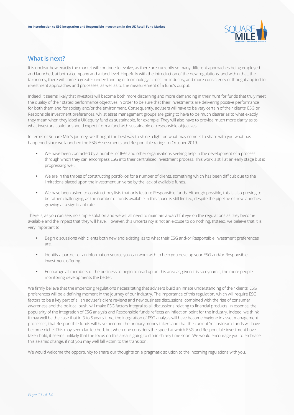

## **What is next?**

It is unclear how exactly the market will continue to evolve, as there are currently so many different approaches being employed and launched, at both a company and a fund level. Hopefully with the introduction of the new regulations, and within that, the taxonomy, there will come a greater understanding of terminology across the industry, and more consistency of thought applied to investment approaches and processes, as well as to the measurement of a fund's output.

Indeed, it seems likely that investors will become both more discerning and more demanding in their hunt for funds that truly meet the duality of their stated performance objectives in order to be sure that their investments are delivering positive performance for both them and for society and/or the environment. Consequently, advisers will have to be very certain of their clients' ESG or Responsible investment preferences, whilst asset management groups are going to have to be much clearer as to what exactly they mean when they label a UK equity fund as sustainable, for example. They will also have to provide much more clarity as to what investors could or should expect from a fund with sustainable or responsible objectives.

In terms of Square Mile's journey, we thought the best way to shine a light on what may come is to share with you what has happened since we launched the ESG Assessments and Responsible ratings in October 2019.

- **•** We have been contacted by a number of IFAs and other organisations seeking help in the development of a process through which they can encompass ESG into their centralised investment process. This work is still at an early stage but is progressing well.
- **•** We are in the throes of constructing portfolios for a number of clients, something which has been difficult due to the limitations placed upon the investment universe by the lack of available funds.
- **•** We have been asked to construct buy lists that only feature Responsible funds. Although possible, this is also proving to be rather challenging, as the number of funds available in this space is still limited, despite the pipeline of new launches growing at a significant rate.

There is, as you can see, no simple solution and we will all need to maintain a watchful eye on the regulations as they become available and the impact that they will have. However, this uncertainty is not an excuse to do nothing. Instead, we believe that it is very important to:

- **•** Begin discussions with clients both new and existing, as to what their ESG and/or Responsible investment preferences are.
- **•** Identify a partner or an information source you can work with to help you develop your ESG and/or Responsible investment offering.
- **•** Encourage all members of the business to begin to read up on this area as, given it is so dynamic, the more people monitoring developments the better.

We firmly believe that the impending regulations necessitating that advisers build an innate understanding of their clients' ESG preferences will be a defining moment in the journey of our industry. The importance of this regulation, which will require ESG factors to be a key part of all an adviser's client reviews and new business discussions, combined with the rise of consumer awareness and the political push, will make ESG factors integral to all discussions relating to financial products. In essence, the popularity of the integration of ESG analysis and Responsible funds reflects an inflection point for the industry. Indeed, we think it may well be the case that in 3 to 5 years' time, the integration of ESG analysis will have become hygiene in asset management processes, that Responsible funds will have become the primary money takers and that the current 'mainstream' funds will have become niche. This may seem far-fetched, but when one considers the speed at which ESG and Responsible investment have taken hold, it seems unlikely that the focus on this area is going to diminish any time soon. We would encourage you to embrace this seismic change, if not you may well fall victim to the transition.

We would welcome the opportunity to share our thoughts on a pragmatic solution to the incoming regulations with you.